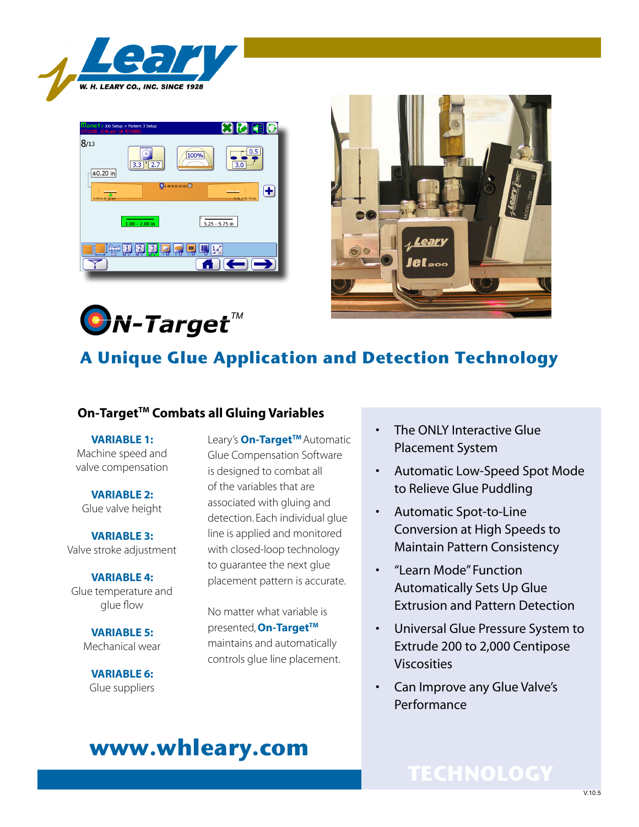





*N-TargetTM*

### **A Unique Glue Application and Detection Technology**

### **On-Target<sup>™</sup> Combats all Gluing Variables**

**VARIABLE 1:** Machine speed and valve compensation

**VARIABLE 2:** Glue valve height

**VARIABLE 3:** Valve stroke adjustment

**VARIABLE 4:** Glue temperature and glue flow

> **VARIABLE 5:** Mechanical wear

**VARIABLE 6:** Glue suppliers Leary's **On-Target™** Automatic Glue Compensation Software is designed to combat all of the variables that are associated with gluing and detection. Each individual glue line is applied and monitored with closed-loop technology to guarantee the next glue placement pattern is accurate.

No matter what variable is presented, **On-TargetTM** maintains and automatically controls glue line placement.

- The ONLY Interactive Glue Placement System
- Automatic Low-Speed Spot Mode to Relieve Glue Puddling
- Automatic Spot-to-Line Conversion at High Speeds to Maintain Pattern Consistency
- • "Learn Mode" Function Automatically Sets Up Glue Extrusion and Pattern Detection
- Universal Glue Pressure System to Extrude 200 to 2,000 Centipose Viscosities
- Can Improve any Glue Valve's Performance

# **www.whleary.com**

### **TECHNOLOGY**